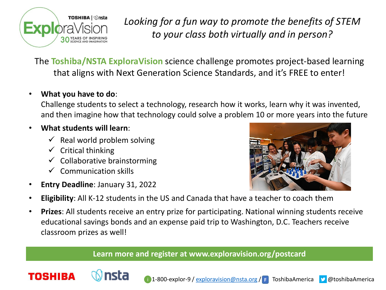

*Looking for a fun way to promote the benefits of STEM to your class both virtually and in person?*

The **Toshiba/NSTA ExploraVision** science challenge promotes project-based learning that aligns with Next Generation Science Standards, and it's FREE to enter!

## • **What you have to do**:

Challenge students to select a technology, research how it works, learn why it was invented, and then imagine how that technology could solve a problem 10 or more years into the future

## • **What students will learn**:

- $\checkmark$  Real world problem solving
- $\checkmark$  Critical thinking

**TOSHIBA** 

- $\checkmark$  Collaborative brainstorming
- $\checkmark$  Communication skills
- **Entry Deadline**: January 31, 2022



- **Eligibility**: All K-12 students in the US and Canada that have a teacher to coach them
- **Prizes**: All students receive an entry prize for participating. National winning students receive educational savings bonds and an expense paid trip to Washington, D.C. Teachers receive classroom prizes as well!

## **Learn more and register at www.exploravision.org/postcard**